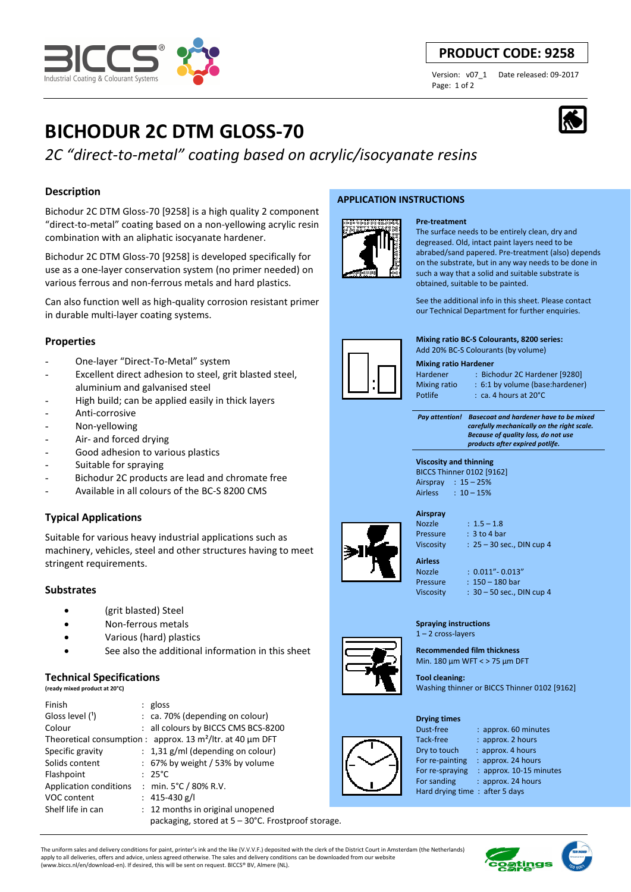*2C "direct-to-metal" coating based on acrylic/isocyanate resins*

Bichodur 2C DTM Gloss-70 [9258] is a high quality 2 component "direct-to-metal" coating based on a non-yellowing acrylic resin combination with an aliphatic isocyanate hardener.

**BICHODUR 2C DTM GLOSS-70**

Bichodur 2C DTM Gloss-70 [9258] is developed specifically for use as a one-layer conservation system (no primer needed) on various ferrous and non-ferrous metals and hard plastics.

Can also function well as high-quality corrosion resistant primer in durable multi-layer coating systems.

# **Properties**

**Description** 

- One-layer "Direct-To-Metal" system
- Excellent direct adhesion to steel, grit blasted steel, aluminium and galvanised steel
- High build; can be applied easily in thick layers
- Anti-corrosive
- Non-yellowing
- Air- and forced drying
- Good adhesion to various plastics
- Suitable for spraying
- Bichodur 2C products are lead and chromate free
- Available in all colours of the BC-S 8200 CMS

# **Typical Applications**

Suitable for various heavy industrial applications such as machinery, vehicles, steel and other structures having to meet stringent requirements.

## **Substrates**

- (grit blasted) Steel
- Non-ferrous metals
- Various (hard) plastics
- See also the additional information in this sheet

## **Technical Specifications**

|  | (ready mixed product at 20°C) |  |  |
|--|-------------------------------|--|--|

| Finish                 | $:$ gloss                                                     |  |
|------------------------|---------------------------------------------------------------|--|
| Gloss level $(1)$      | : ca. 70% (depending on colour)                               |  |
| Colour                 | : all colours by BICCS CMS BCS-8200                           |  |
|                        | Theoretical consumption : approx. 13 $m^2$ /ltr. at 40 µm DFT |  |
| Specific gravity       | $: 1,31$ g/ml (depending on colour)                           |  |
| Solids content         | : 67% by weight / 53% by volume                               |  |
| Flashpoint             | $: 25^{\circ}$ C                                              |  |
| Application conditions | : min. 5°C / 80% R.V.                                         |  |
| VOC content            | : $415-430$ g/l                                               |  |
| Shelf life in can      | : 12 months in original unopened                              |  |
|                        | packaging, stored at 5 – 30°C. Frostproof storage.            |  |

**APPLICATION INSTRUCTIONS** 



# **Pre-treatment**

The surface needs to be entirely clean, dry and degreased. Old, intact paint layers need to be abrabed/sand papered. Pre-treatment (also) depends on the substrate, but in any way needs to be done in such a way that a solid and suitable substrate is obtained, suitable to be painted.

See the additional info in this sheet. Please contact our Technical Department for further enquiries.

**Mixing ratio BC-S Colourants, 8200 series:**  Add 20% BC-S Colourants (by volume)

#### **Mixing ratio Hardener**

Hardener : Bichodur 2C Hardener [9280] Mixing ratio : 6:1 by volume (base:hardener)

Potlife : ca. 4 hours at 20°C

 *Pay attention! Basecoat and hardener have to be mixed carefully mechanically on the right scale. Because of quality loss, do not use products after expired potlife.*

#### **Viscosity and thinning**  BICCS Thinner 0102 [9162] Airspray : 15 – 25% Airless : 10 – 15%



# Nozzle : 1.5 – 1.8

Pressure : 3 to 4 bar Viscosity : 25 – 30 sec., DIN cup 4

**Airless** 

Nozzle : 0.011"- 0.013" Pressure : 150 – 180 bar Viscosity : 30 – 50 sec., DIN cup 4

#### **Spraying instructions**  1 – 2 cross-layers

**Recommended film thickness**  Min. 180 µm WFT < > 75 µm DFT

**Tool cleaning:**  Washing thinner or BICCS Thinner 0102 [9162]

#### **Drying times**

Tack-free : approx. 2 hours Dry to touch : approx. 4 hours For re-painting : approx. 24 hours For re-spraying : approx. 10-15 minutes

For sanding : approx. 24 hours

Dust-free : approx. 60 minutes

Hard drying time : after 5 days

The uniform sales and delivery conditions for paint, printer's ink and the like (V.V.V.F.) deposited with the clerk of the District Court in Amsterdam (the Netherlands) apply to all deliveries, offers and advice, unless agreed otherwise. The sales and delivery conditions can be downloaded from our website (www.biccs.nl/en/download-en). If desired, this will be sent on request. BICCS® BV, Almere (NL).



# **PRODUCT CODE: 9258**

Page: 1 of 2

Version: v07\_1 Date released: 09-2017